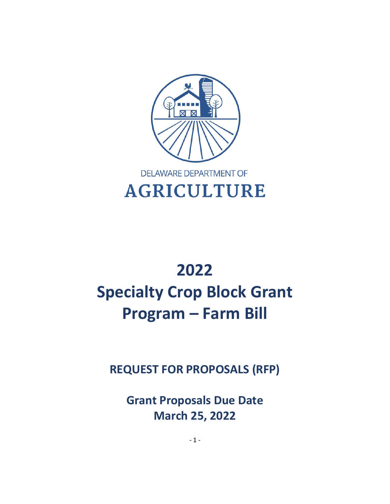

# **2022 Specialty Crop Block Grant Program – Farm Bill**

**REQUEST FOR PROPOSALS (RFP)**

**Grant Proposals Due Date March 25, 2022**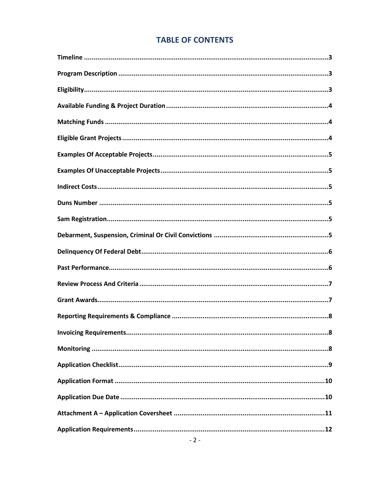# **TABLE OF CONTENTS**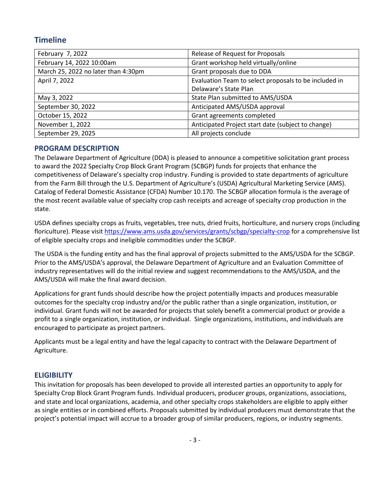# **Timeline**

| February 7, 2022                    | Release of Request for Proposals                      |
|-------------------------------------|-------------------------------------------------------|
| February 14, 2022 10:00am           | Grant workshop held virtually/online                  |
| March 25, 2022 no later than 4:30pm | Grant proposals due to DDA                            |
| April 7, 2022                       | Evaluation Team to select proposals to be included in |
|                                     | Delaware's State Plan                                 |
| May 3, 2022                         | State Plan submitted to AMS/USDA                      |
| September 30, 2022                  | Anticipated AMS/USDA approval                         |
| October 15, 2022                    | Grant agreements completed                            |
| November 1, 2022                    | Anticipated Project start date (subject to change)    |
| September 29, 2025                  | All projects conclude                                 |

# **PROGRAM DESCRIPTION**

The Delaware Department of Agriculture (DDA) is pleased to announce a competitive solicitation grant process to award the 2022 Specialty Crop Block Grant Program (SCBGP) funds for projects that enhance the competitiveness of Delaware's specialty crop industry. Funding is provided to state departments of agriculture from the Farm Bill through the U.S. Department of Agriculture's (USDA) Agricultural Marketing Service (AMS). Catalog of Federal Domestic Assistance (CFDA) Number 10.170. The SCBGP allocation formula is the average of the most recent available value of specialty crop cash receipts and acreage of specialty crop production in the state.

USDA defines specialty crops as fruits, vegetables, tree nuts, dried fruits, horticulture, and nursery crops (including floriculture). Please visit<https://www.ams.usda.gov/services/grants/scbgp/specialty-crop> for a comprehensive list of eligible specialty crops and ineligible commodities under the SCBGP.

The USDA is the funding entity and has the final approval of projects submitted to the AMS/USDA for the SCBGP. Prior to the AMS/USDA's approval, the Delaware Department of Agriculture and an Evaluation Committee of industry representatives will do the initial review and suggest recommendations to the AMS/USDA, and the AMS/USDA will make the final award decision.

Applications for grant funds should describe how the project potentially impacts and produces measurable outcomes for the specialty crop industry and/or the public rather than a single organization, institution, or individual. Grant funds will not be awarded for projects that solely benefit a commercial product or provide a profit to a single organization, institution, or individual. Single organizations, institutions, and individuals are encouraged to participate as project partners.

Applicants must be a legal entity and have the legal capacity to contract with the Delaware Department of Agriculture.

# **ELIGIBILITY**

This invitation for proposals has been developed to provide all interested parties an opportunity to apply for Specialty Crop Block Grant Program funds. Individual producers, producer groups, organizations, associations, and state and local organizations, academia, and other specialty crops stakeholders are eligible to apply either as single entities or in combined efforts. Proposals submitted by individual producers must demonstrate that the project's potential impact will accrue to a broader group of similar producers, regions, or industry segments.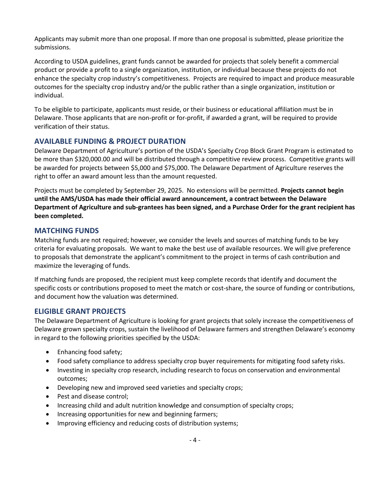Applicants may submit more than one proposal. If more than one proposal is submitted, please prioritize the submissions.

According to USDA guidelines, grant funds cannot be awarded for projects that solely benefit a commercial product or provide a profit to a single organization, institution, or individual because these projects do not enhance the specialty crop industry's competitiveness. Projects are required to impact and produce measurable outcomes for the specialty crop industry and/or the public rather than a single organization, institution or individual.

To be eligible to participate, applicants must reside, or their business or educational affiliation must be in Delaware. Those applicants that are non-profit or for-profit, if awarded a grant, will be required to provide verification of their status.

# **AVAILABLE FUNDING & PROJECT DURATION**

Delaware Department of Agriculture's portion of the USDA's Specialty Crop Block Grant Program is estimated to be more than \$320,000.00 and will be distributed through a competitive review process. Competitive grants will be awarded for projects between \$5,000 and \$75,000. The Delaware Department of Agriculture reserves the right to offer an award amount less than the amount requested.

Projects must be completed by September 29, 2025. No extensions will be permitted. **Projects cannot begin until the AMS/USDA has made their official award announcement, a contract between the Delaware Department of Agriculture and sub-grantees has been signed, and a Purchase Order for the grant recipient has been completed.**

# **MATCHING FUNDS**

Matching funds are not required; however, we consider the levels and sources of matching funds to be key criteria for evaluating proposals. We want to make the best use of available resources. We will give preference to proposals that demonstrate the applicant's commitment to the project in terms of cash contribution and maximize the leveraging of funds.

If matching funds are proposed, the recipient must keep complete records that identify and document the specific costs or contributions proposed to meet the match or cost-share, the source of funding or contributions, and document how the valuation was determined.

# **ELIGIBLE GRANT PROJECTS**

The Delaware Department of Agriculture is looking for grant projects that solely increase the competitiveness of Delaware grown specialty crops, sustain the livelihood of Delaware farmers and strengthen Delaware's economy in regard to the following priorities specified by the USDA:

- Enhancing food safety;
- Food safety compliance to address specialty crop buyer requirements for mitigating food safety risks.
- Investing in specialty crop research, including research to focus on conservation and environmental outcomes;
- Developing new and improved seed varieties and specialty crops;
- Pest and disease control;
- Increasing child and adult nutrition knowledge and consumption of specialty crops;
- Increasing opportunities for new and beginning farmers;
- Improving efficiency and reducing costs of distribution systems;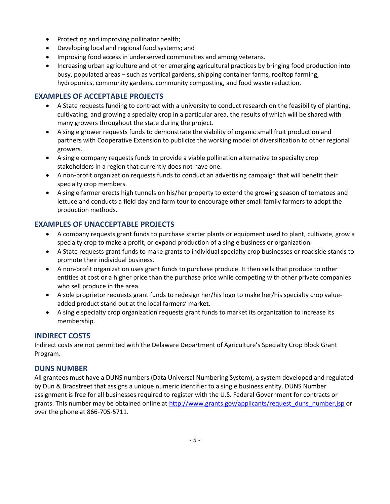- Protecting and improving pollinator health;
- Developing local and regional food systems; and
- Improving food access in underserved communities and among veterans.
- Increasing urban agriculture and other emerging agricultural practices by bringing food production into busy, populated areas – such as vertical gardens, shipping container farms, rooftop farming, hydroponics, community gardens, community composting, and food waste reduction.

# **EXAMPLES OF ACCEPTABLE PROJECTS**

- A State requests funding to contract with a university to conduct research on the feasibility of planting, cultivating, and growing a specialty crop in a particular area, the results of which will be shared with many growers throughout the state during the project.
- A single grower requests funds to demonstrate the viability of organic small fruit production and partners with Cooperative Extension to publicize the working model of diversification to other regional growers.
- A single company requests funds to provide a viable pollination alternative to specialty crop stakeholders in a region that currently does not have one.
- A non-profit organization requests funds to conduct an advertising campaign that will benefit their specialty crop members.
- A single farmer erects high tunnels on his/her property to extend the growing season of tomatoes and lettuce and conducts a field day and farm tour to encourage other small family farmers to adopt the production methods.

# **EXAMPLES OF UNACCEPTABLE PROJECTS**

- A company requests grant funds to purchase starter plants or equipment used to plant, cultivate, grow a specialty crop to make a profit, or expand production of a single business or organization.
- A State requests grant funds to make grants to individual specialty crop businesses or roadside stands to promote their individual business.
- A non-profit organization uses grant funds to purchase produce. It then sells that produce to other entities at cost or a higher price than the purchase price while competing with other private companies who sell produce in the area.
- A sole proprietor requests grant funds to redesign her/his logo to make her/his specialty crop valueadded product stand out at the local farmers' market.
- A single specialty crop organization requests grant funds to market its organization to increase its membership.

# **INDIRECT COSTS**

Indirect costs are not permitted with the Delaware Department of Agriculture's Specialty Crop Block Grant Program.

# **DUNS NUMBER**

All grantees must have a DUNS numbers (Data Universal Numbering System), a system developed and regulated by Dun & Bradstreet that assigns a unique numeric identifier to a single business entity. DUNS Number assignment is free for all businesses required to register with the U.S. Federal Government for contracts or grants. This number may be obtained online at [http://www.grants.gov/applicants/request\\_duns\\_number.jsp](http://www.grants.gov/applicants/request_duns_number.jsp) or over the phone at 866-705-5711.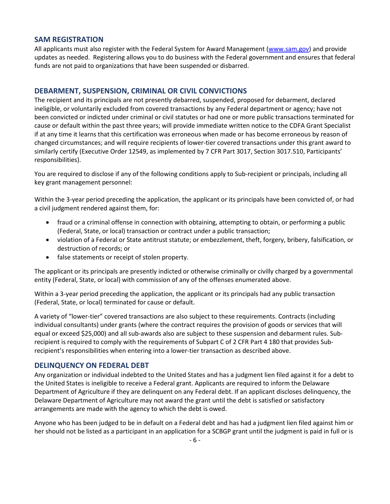## **SAM REGISTRATION**

All applicants must also register with the Federal System for Award Management [\(www.sam.gov\)](http://www.sam.gov/) and provide updates as needed. Registering allows you to do business with the Federal government and ensures that federal funds are not paid to organizations that have been suspended or disbarred.

# **DEBARMENT, SUSPENSION, CRIMINAL OR CIVIL CONVICTIONS**

The recipient and its principals are not presently debarred, suspended, proposed for debarment, declared ineligible, or voluntarily excluded from covered transactions by any Federal department or agency; have not been convicted or indicted under criminal or civil statutes or had one or more public transactions terminated for cause or default within the past three years; will provide immediate written notice to the CDFA Grant Specialist if at any time it learns that this certification was erroneous when made or has become erroneous by reason of changed circumstances; and will require recipients of lower-tier covered transactions under this grant award to similarly certify (Executive Order 12549, as implemented by 7 CFR Part 3017, Section 3017.510, Participants' responsibilities).

You are required to disclose if any of the following conditions apply to Sub-recipient or principals, including all key grant management personnel:

Within the 3-year period preceding the application, the applicant or its principals have been convicted of, or had a civil judgment rendered against them, for:

- fraud or a criminal offense in connection with obtaining, attempting to obtain, or performing a public (Federal, State, or local) transaction or contract under a public transaction;
- violation of a Federal or State antitrust statute; or embezzlement, theft, forgery, bribery, falsification, or destruction of records; or
- false statements or receipt of stolen property.

The applicant or its principals are presently indicted or otherwise criminally or civilly charged by a governmental entity (Federal, State, or local) with commission of any of the offenses enumerated above.

Within a 3-year period preceding the application, the applicant or its principals had any public transaction (Federal, State, or local) terminated for cause or default.

A variety of "lower-tier" covered transactions are also subject to these requirements. Contracts (including individual consultants) under grants (where the contract requires the provision of goods or services that will equal or exceed \$25,000) and all sub-awards also are subject to these suspension and debarment rules. Subrecipient is required to comply with the requirements of Subpart C of 2 CFR Part 4 180 that provides Subrecipient's responsibilities when entering into a lower-tier transaction as described above.

## **DELINQUENCY ON FEDERAL DEBT**

Any organization or individual indebted to the United States and has a judgment lien filed against it for a debt to the United States is ineligible to receive a Federal grant. Applicants are required to inform the Delaware Department of Agriculture if they are delinquent on any Federal debt. If an applicant discloses delinquency, the Delaware Department of Agriculture may not award the grant until the debt is satisfied or satisfactory arrangements are made with the agency to which the debt is owed.

Anyone who has been judged to be in default on a Federal debt and has had a judgment lien filed against him or her should not be listed as a participant in an application for a SCBGP grant until the judgment is paid in full or is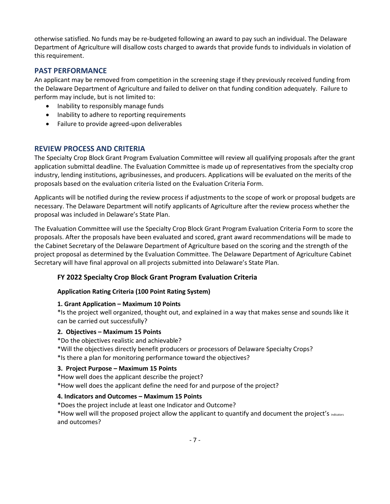otherwise satisfied. No funds may be re-budgeted following an award to pay such an individual. The Delaware Department of Agriculture will disallow costs charged to awards that provide funds to individuals in violation of this requirement.

# **PAST PERFORMANCE**

An applicant may be removed from competition in the screening stage if they previously received funding from the Delaware Department of Agriculture and failed to deliver on that funding condition adequately. Failure to perform may include, but is not limited to:

- Inability to responsibly manage funds
- Inability to adhere to reporting requirements
- Failure to provide agreed-upon deliverables

# **REVIEW PROCESS AND CRITERIA**

The Specialty Crop Block Grant Program Evaluation Committee will review all qualifying proposals after the grant application submittal deadline. The Evaluation Committee is made up of representatives from the specialty crop industry, lending institutions, agribusinesses, and producers. Applications will be evaluated on the merits of the proposals based on the evaluation criteria listed on the Evaluation Criteria Form.

Applicants will be notified during the review process if adjustments to the scope of work or proposal budgets are necessary. The Delaware Department will notify applicants of Agriculture after the review process whether the proposal was included in Delaware's State Plan.

The Evaluation Committee will use the Specialty Crop Block Grant Program Evaluation Criteria Form to score the proposals. After the proposals have been evaluated and scored, grant award recommendations will be made to the Cabinet Secretary of the Delaware Department of Agriculture based on the scoring and the strength of the project proposal as determined by the Evaluation Committee. The Delaware Department of Agriculture Cabinet Secretary will have final approval on all projects submitted into Delaware's State Plan.

## **FY 2022 Specialty Crop Block Grant Program Evaluation Criteria**

#### **Application Rating Criteria (100 Point Rating System)**

#### **1. Grant Application – Maximum 10 Points**

\*Is the project well organized, thought out, and explained in a way that makes sense and sounds like it can be carried out successfully?

#### **2. Objectives – Maximum 15 Points**

\*Do the objectives realistic and achievable?

\*Will the objectives directly benefit producers or processors of Delaware Specialty Crops? \*Is there a plan for monitoring performance toward the objectives?

## **3. Project Purpose – Maximum 15 Points**

\*How well does the applicant describe the project?

\*How well does the applicant define the need for and purpose of the project?

# **4. Indicators and Outcomes – Maximum 15 Points**

\*Does the project include at least one Indicator and Outcome?

\*How well will the proposed project allow the applicant to quantify and document the project's indicators and outcomes?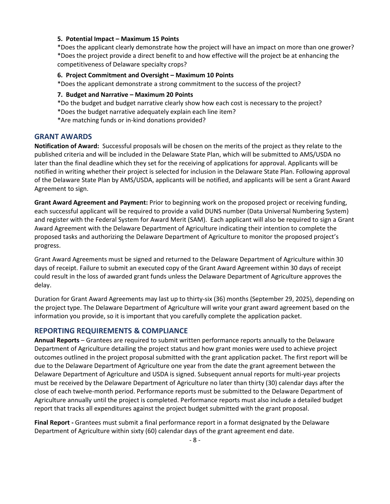#### **5. Potential Impact – Maximum 15 Points**

\*Does the applicant clearly demonstrate how the project will have an impact on more than one grower? \*Does the project provide a direct benefit to and how effective will the project be at enhancing the competitiveness of Delaware specialty crops?

#### **6. Project Commitment and Oversight – Maximum 10 Points**

\*Does the applicant demonstrate a strong commitment to the success of the project?

#### **7. Budget and Narrative – Maximum 20 Points**

- \*Do the budget and budget narrative clearly show how each cost is necessary to the project?
- \*Does the budget narrative adequately explain each line item?
- \*Are matching funds or in-kind donations provided?

#### **GRANT AWARDS**

**Notification of Award:** Successful proposals will be chosen on the merits of the project as they relate to the published criteria and will be included in the Delaware State Plan, which will be submitted to AMS/USDA no later than the final deadline which they set for the receiving of applications for approval. Applicants will be notified in writing whether their project is selected for inclusion in the Delaware State Plan. Following approval of the Delaware State Plan by AMS/USDA, applicants will be notified, and applicants will be sent a Grant Award Agreement to sign.

**Grant Award Agreement and Payment:** Prior to beginning work on the proposed project or receiving funding, each successful applicant will be required to provide a valid DUNS number (Data Universal Numbering System) and register with the Federal System for Award Merit (SAM). Each applicant will also be required to sign a Grant Award Agreement with the Delaware Department of Agriculture indicating their intention to complete the proposed tasks and authorizing the Delaware Department of Agriculture to monitor the proposed project's progress.

Grant Award Agreements must be signed and returned to the Delaware Department of Agriculture within 30 days of receipt. Failure to submit an executed copy of the Grant Award Agreement within 30 days of receipt could result in the loss of awarded grant funds unless the Delaware Department of Agriculture approves the delay.

Duration for Grant Award Agreements may last up to thirty-six (36) months (September 29, 2025), depending on the project type. The Delaware Department of Agriculture will write your grant award agreement based on the information you provide, so it is important that you carefully complete the application packet.

#### **REPORTING REQUIREMENTS & COMPLIANCE**

**Annual Reports** – Grantees are required to submit written performance reports annually to the Delaware Department of Agriculture detailing the project status and how grant monies were used to achieve project outcomes outlined in the project proposal submitted with the grant application packet. The first report will be due to the Delaware Department of Agriculture one year from the date the grant agreement between the Delaware Department of Agriculture and USDA is signed. Subsequent annual reports for multi-year projects must be received by the Delaware Department of Agriculture no later than thirty (30) calendar days after the close of each twelve-month period. Performance reports must be submitted to the Delaware Department of Agriculture annually until the project is completed. Performance reports must also include a detailed budget report that tracks all expenditures against the project budget submitted with the grant proposal.

**Final Report -** Grantees must submit a final performance report in a format designated by the Delaware Department of Agriculture within sixty (60) calendar days of the grant agreement end date.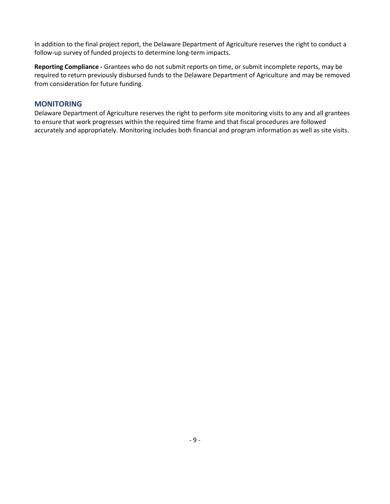In addition to the final project report, the Delaware Department of Agriculture reserves the right to conduct a follow-up survey of funded projects to determine long-term impacts.

**Reporting Compliance -** Grantees who do not submit reports on time, or submit incomplete reports, may be required to return previously disbursed funds to the Delaware Department of Agriculture and may be removed from consideration for future funding.

# **MONITORING**

Delaware Department of Agriculture reserves the right to perform site monitoring visits to any and all grantees to ensure that work progresses within the required time frame and that fiscal procedures are followed accurately and appropriately. Monitoring includes both financial and program information as well as site visits.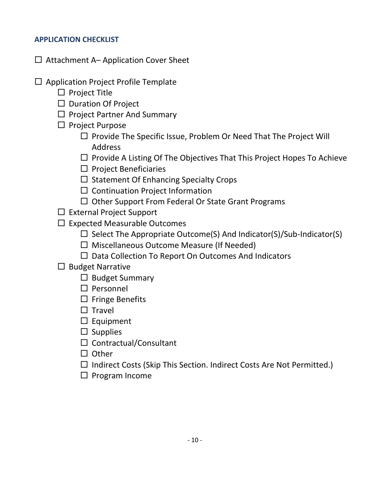# **APPLICATION CHECKLIST**

- $\Box$  Attachment A– Application Cover Sheet
- $\square$  Application Project Profile Template
	- $\square$  Project Title
	- $\square$  Duration Of Project
	- $\Box$  Project Partner And Summary
	- $\Box$  Project Purpose
		- $\Box$  Provide The Specific Issue, Problem Or Need That The Project Will Address
		- $\Box$  Provide A Listing Of The Objectives That This Project Hopes To Achieve
		- $\square$  Project Beneficiaries
		- $\square$  Statement Of Enhancing Specialty Crops
		- $\square$  Continuation Project Information
		- $\Box$  Other Support From Federal Or State Grant Programs
	- $\Box$  External Project Support
	- $\Box$  Expected Measurable Outcomes
		- $\Box$  Select The Appropriate Outcome(S) And Indicator(S)/Sub-Indicator(S)
		- $\Box$  Miscellaneous Outcome Measure (If Needed)
		- $\Box$  Data Collection To Report On Outcomes And Indicators
	- $\Box$  Budget Narrative
		- $\Box$  Budget Summary
		- $\square$  Personnel
		- $\Box$  Fringe Benefits
		- $\Box$  Travel
		- $\square$  Equipment
		- $\square$  Supplies
		- $\square$  Contractual/Consultant
		- $\Box$  Other
		- $\Box$  Indirect Costs (Skip This Section. Indirect Costs Are Not Permitted.)
		- $\square$  Program Income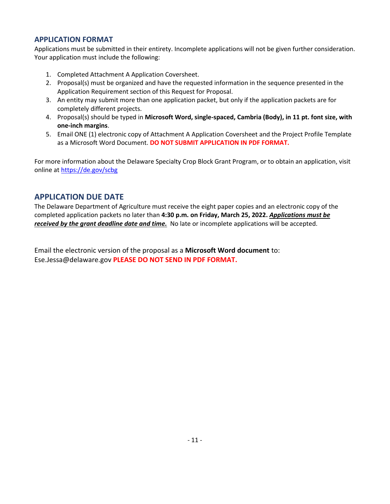# **APPLICATION FORMAT**

Applications must be submitted in their entirety. Incomplete applications will not be given further consideration. Your application must include the following:

- 1. Completed Attachment A Application Coversheet.
- 2. Proposal(s) must be organized and have the requested information in the sequence presented in the Application Requirement section of this Request for Proposal.
- 3. An entity may submit more than one application packet, but only if the application packets are for completely different projects.
- 4. Proposal(s) should be typed in **Microsoft Word, single-spaced, Cambria (Body), in 11 pt. font size, with one-inch margins**.
- 5. Email ONE (1) electronic copy of Attachment A Application Coversheet and the Project Profile Template as a Microsoft Word Document. **DO NOT SUBMIT APPLICATION IN PDF FORMAT.**

For more information about the Delaware Specialty Crop Block Grant Program, or to obtain an application, visit online at<https://de.gov/scbg>

# **APPLICATION DUE DATE**

The Delaware Department of Agriculture must receive the eight paper copies and an electronic copy of the completed application packets no later than **4:30 p.m. on Friday, March 25, 2022.** *Applications must be received by the grant deadline date and time.* No late or incomplete applications will be accepted.

Email the electronic version of the proposal as a **Microsoft Word document** to: Ese.Jessa@delaware.gov **PLEASE DO NOT SEND IN PDF FORMAT.**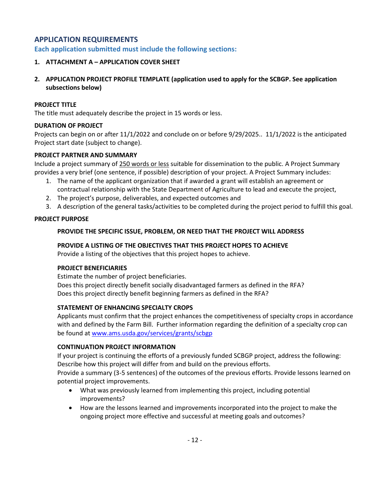# **APPLICATION REQUIREMENTS**

**Each application submitted must include the following sections:**

# **1. ATTACHMENT A – APPLICATION COVER SHEET**

**2. APPLICATION PROJECT PROFILE TEMPLATE (application used to apply for the SCBGP. See application subsections below)**

## **PROJECT TITLE**

The title must adequately describe the project in 15 words or less.

## **DURATION OF PROJECT**

Projects can begin on or after 11/1/2022 and conclude on or before 9/29/2025.. 11/1/2022 is the anticipated Project start date (subject to change).

## **PROJECT PARTNER AND SUMMARY**

Include a project summary of 250 words or less suitable for dissemination to the public. A Project Summary provides a very brief (one sentence, if possible) description of your project. A Project Summary includes:

- 1. The name of the applicant organization that if awarded a grant will establish an agreement or contractual relationship with the State Department of Agriculture to lead and execute the project,
- 2. The project's purpose, deliverables, and expected outcomes and
- 3. A description of the general tasks/activities to be completed during the project period to fulfill this goal.

## **PROJECT PURPOSE**

## **PROVIDE THE SPECIFIC ISSUE, PROBLEM, OR NEED THAT THE PROJECT WILL ADDRESS**

#### **PROVIDE A LISTING OF THE OBJECTIVES THAT THIS PROJECT HOPES TO ACHIEVE**

Provide a listing of the objectives that this project hopes to achieve.

## **PROJECT BENEFICIARIES**

Estimate the number of project beneficiaries. Does this project directly benefit socially disadvantaged farmers as defined in the RFA?

# Does this project directly benefit beginning farmers as defined in the RFA?

## **STATEMENT OF ENHANCING SPECIALTY CROPS**

Applicants must confirm that the project enhances the competitiveness of specialty crops in accordance with and defined by the Farm Bill. Further information regarding the definition of a specialty crop can be found at [www.ams.usda.gov/services/grants/scbgp](http://www.ams.usda.gov/services/grants/scbgp)

## **CONTINUATION PROJECT INFORMATION**

If your project is continuing the efforts of a previously funded SCBGP project, address the following: Describe how this project will differ from and build on the previous efforts. Provide a summary (3-5 sentences) of the outcomes of the previous efforts. Provide lessons learned on

potential project improvements.

- What was previously learned from implementing this project, including potential improvements?
- How are the lessons learned and improvements incorporated into the project to make the ongoing project more effective and successful at meeting goals and outcomes?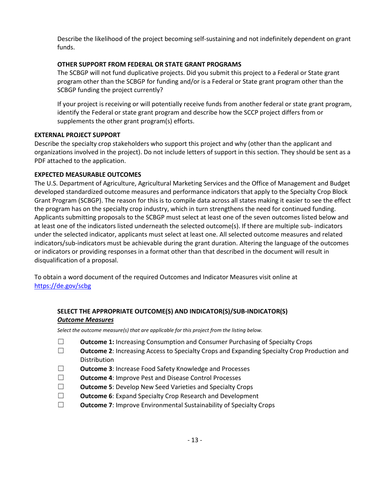Describe the likelihood of the project becoming self-sustaining and not indefinitely dependent on grant funds.

## **OTHER SUPPORT FROM FEDERAL OR STATE GRANT PROGRAMS**

The SCBGP will not fund duplicative projects. Did you submit this project to a Federal or State grant program other than the SCBGP for funding and/or is a Federal or State grant program other than the SCBGP funding the project currently?

If your project is receiving or will potentially receive funds from another federal or state grant program, identify the Federal or state grant program and describe how the SCCP project differs from or supplements the other grant program(s) efforts.

## **EXTERNAL PROJECT SUPPORT**

Describe the specialty crop stakeholders who support this project and why (other than the applicant and organizations involved in the project). Do not include letters of support in this section. They should be sent as a PDF attached to the application.

# **EXPECTED MEASURABLE OUTCOMES**

The U.S. Department of Agriculture, Agricultural Marketing Services and the Office of Management and Budget developed standardized outcome measures and performance indicators that apply to the Specialty Crop Block Grant Program (SCBGP). The reason for this is to compile data across all states making it easier to see the effect the program has on the specialty crop industry, which in turn strengthens the need for continued funding. Applicants submitting proposals to the SCBGP must select at least one of the seven outcomes listed below and at least one of the indicators listed underneath the selected outcome(s). If there are multiple sub- indicators under the selected indicator, applicants must select at least one. All selected outcome measures and related indicators/sub-indicators must be achievable during the grant duration. Altering the language of the outcomes or indicators or providing responses in a format other than that described in the document will result in disqualification of a proposal.

To obtain a word document of the required Outcomes and Indicator Measures visit online at <https://de.gov/scbg>

# **SELECT THE APPROPRIATE OUTCOME(S) AND INDICATOR(S)/SUB-INDICATOR(S)** *Outcome Measures*

*Select the outcome measure(s) that are applicable for this project from the listing below.*

- ☐ **Outcome 1:** Increasing Consumption and Consumer Purchasing of Specialty Crops
- ☐ **Outcome 2**: Increasing Access to Specialty Crops and Expanding Specialty Crop Production and Distribution
- ☐ **Outcome 3**: Increase Food Safety Knowledge and Processes
- ☐ **Outcome 4**: Improve Pest and Disease Control Processes
- ☐ **Outcome 5**: Develop New Seed Varieties and Specialty Crops
- ☐ **Outcome 6**: Expand Specialty Crop Research and Development
- ☐ **Outcome 7**: Improve Environmental Sustainability of Specialty Crops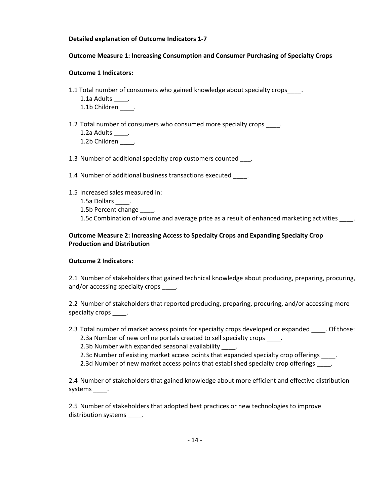## **Detailed explanation of Outcome Indicators 1-7**

#### **Outcome Measure 1: Increasing Consumption and Consumer Purchasing of Specialty Crops**

#### **Outcome 1 Indicators:**

- 1.1 Total number of consumers who gained knowledge about specialty crops .
	- 1.1a Adults \_\_\_\_\_.

1.1b Children \_\_\_\_\_.

1.2 Total number of consumers who consumed more specialty crops \_\_\_\_\_. 1.2a Adults \_\_\_\_. 1.2b Children \_\_\_\_.

1.3 Number of additional specialty crop customers counted \_\_\_.

1.4 Number of additional business transactions executed .

- 1.5 Increased sales measured in:
	- 1.5a Dollars .
	- 1.5b Percent change \_\_\_\_.

1.5c Combination of volume and average price as a result of enhanced marketing activities \_\_\_\_\_.

## **Outcome Measure 2: Increasing Access to Specialty Crops and Expanding Specialty Crop Production and Distribution**

#### **Outcome 2 Indicators:**

2.1 Number of stakeholders that gained technical knowledge about producing, preparing, procuring, and/or accessing specialty crops \_\_\_\_\_.

2.2 Number of stakeholders that reported producing, preparing, procuring, and/or accessing more specialty crops \_\_\_\_\_.

2.3 Total number of market access points for specialty crops developed or expanded . Of those: 2.3a Number of new online portals created to sell specialty crops \_\_\_\_.

2.3b Number with expanded seasonal availability \_\_\_\_.

- 2.3c Number of existing market access points that expanded specialty crop offerings \_\_\_\_.
- 2.3d Number of new market access points that established specialty crop offerings \_\_\_\_.

2.4 Number of stakeholders that gained knowledge about more efficient and effective distribution systems \_\_\_\_\_.

2.5 Number of stakeholders that adopted best practices or new technologies to improve distribution systems \_\_\_\_\_.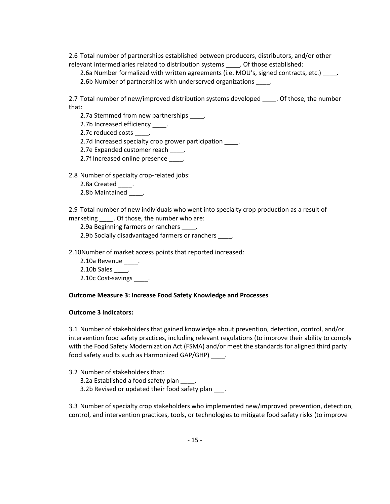2.6 Total number of partnerships established between producers, distributors, and/or other relevant intermediaries related to distribution systems . Of those established:

2.6a Number formalized with written agreements (i.e. MOU's, signed contracts, etc.)  $\qquad \qquad$ . 2.6b Number of partnerships with underserved organizations .

2.7 Total number of new/improved distribution systems developed \_\_\_\_\_. Of those, the number that:

2.7a Stemmed from new partnerships \_\_\_\_\_.

2.7b Increased efficiency \_\_\_\_.

2.7c reduced costs \_\_\_\_\_.

2.7d Increased specialty crop grower participation \_\_\_\_\_.

2.7e Expanded customer reach \_\_\_\_.

2.7f Increased online presence \_\_\_\_.

2.8 Number of specialty crop-related jobs:

2.8a Created \_\_\_\_\_.

2.8b Maintained \_\_\_\_.

2.9 Total number of new individuals who went into specialty crop production as a result of marketing . Of those, the number who are:

2.9a Beginning farmers or ranchers \_\_\_\_.

2.9b Socially disadvantaged farmers or ranchers \_\_\_\_\_.

2.10Number of market access points that reported increased:

2.10a Revenue \_\_\_\_. 2.10b Sales . 2.10c Cost-savings .

#### **Outcome Measure 3: Increase Food Safety Knowledge and Processes**

#### **Outcome 3 Indicators:**

3.1 Number of stakeholders that gained knowledge about prevention, detection, control, and/or intervention food safety practices, including relevant regulations (to improve their ability to comply with the Food Safety Modernization Act (FSMA) and/or meet the standards for aligned third party food safety audits such as Harmonized GAP/GHP) .

3.2 Number of stakeholders that: 3.2a Established a food safety plan \_\_\_\_. 3.2b Revised or updated their food safety plan \_\_\_.

3.3 Number of specialty crop stakeholders who implemented new/improved prevention, detection, control, and intervention practices, tools, or technologies to mitigate food safety risks (to improve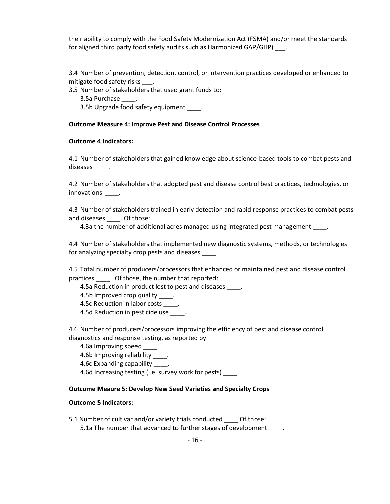their ability to comply with the Food Safety Modernization Act (FSMA) and/or meet the standards for aligned third party food safety audits such as Harmonized GAP/GHP) \_\_\_.

3.4 Number of prevention, detection, control, or intervention practices developed or enhanced to mitigate food safety risks .

3.5 Number of stakeholders that used grant funds to:

3.5a Purchase \_\_\_\_.

3.5b Upgrade food safety equipment \_\_\_\_\_.

#### **Outcome Measure 4: Improve Pest and Disease Control Processes**

#### **Outcome 4 Indicators:**

4.1 Number of stakeholders that gained knowledge about science-based tools to combat pests and diseases \_\_\_\_.

4.2 Number of stakeholders that adopted pest and disease control best practices, technologies, or innovations \_\_\_\_\_\_.

4.3 Number of stakeholders trained in early detection and rapid response practices to combat pests and diseases \_\_\_\_. Of those:

4.3a the number of additional acres managed using integrated pest management \_\_\_\_.

4.4 Number of stakeholders that implemented new diagnostic systems, methods, or technologies for analyzing specialty crop pests and diseases \_\_\_\_.

4.5 Total number of producers/processors that enhanced or maintained pest and disease control practices \_\_\_\_. Of those, the number that reported:

4.5a Reduction in product lost to pest and diseases \_\_\_\_\_.

4.5b Improved crop quality \_\_\_\_\_.

4.5c Reduction in labor costs \_\_\_\_.

4.5d Reduction in pesticide use \_\_\_\_\_.

4.6 Number of producers/processors improving the efficiency of pest and disease control diagnostics and response testing, as reported by:

4.6a Improving speed \_\_\_\_.

4.6b Improving reliability .

4.6c Expanding capability and

4.6d Increasing testing (i.e. survey work for pests) .

#### **Outcome Meaure 5: Develop New Seed Varieties and Specialty Crops**

#### **Outcome 5 Indicators:**

5.1 Number of cultivar and/or variety trials conducted Of those: 5.1a The number that advanced to further stages of development .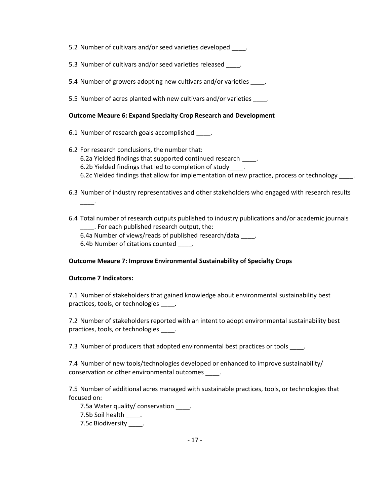5.2 Number of cultivars and/or seed varieties developed \_\_\_\_\_.

- 5.3 Number of cultivars and/or seed varieties released \_\_\_\_.
- 5.4 Number of growers adopting new cultivars and/or varieties  $\qquad \qquad$ .
- 5.5 Number of acres planted with new cultivars and/or varieties \_\_\_\_\_.

## **Outcome Meaure 6: Expand Specialty Crop Research and Development**

- 6.1 Number of research goals accomplished \_\_\_\_\_.
- 6.2 For research conclusions, the number that: 6.2a Yielded findings that supported continued research  $\qquad$ . 6.2b Yielded findings that led to completion of study . 6.2c Yielded findings that allow for implementation of new practice, process or technology ...
- 6.3 Number of industry representatives and other stakeholders who engaged with research results \_\_\_\_.
- 6.4 Total number of research outputs published to industry publications and/or academic journals \_\_\_\_. For each published research output, the:
	- 6.4a Number of views/reads of published research/data .
	- 6.4b Number of citations counted \_\_\_\_.

# **Outcome Meaure 7: Improve Environmental Sustainability of Specialty Crops**

## **Outcome 7 Indicators:**

7.1 Number of stakeholders that gained knowledge about environmental sustainability best practices, tools, or technologies \_\_\_\_\_.

7.2 Number of stakeholders reported with an intent to adopt environmental sustainability best practices, tools, or technologies \_\_\_\_.

7.3 Number of producers that adopted environmental best practices or tools .

7.4 Number of new tools/technologies developed or enhanced to improve sustainability/ conservation or other environmental outcomes \_\_\_\_.

7.5 Number of additional acres managed with sustainable practices, tools, or technologies that focused on:

7.5a Water quality/ conservation \_\_\_\_\_. 7.5b Soil health \_\_\_\_. 7.5c Biodiversity \_\_\_\_.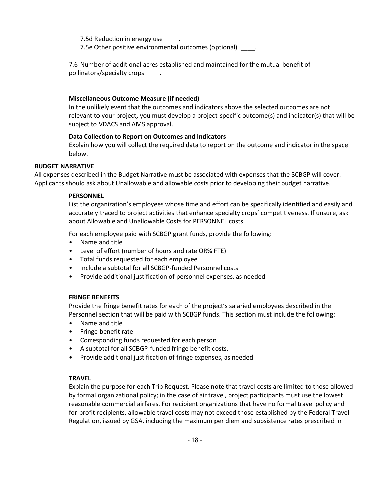7.5d Reduction in energy use 7.5e Other positive environmental outcomes (optional) \_\_\_\_\_.

7.6 Number of additional acres established and maintained for the mutual benefit of pollinators/specialty crops .

#### **Miscellaneous Outcome Measure (if needed)**

In the unlikely event that the outcomes and indicators above the selected outcomes are not relevant to your project, you must develop a project-specific outcome(s) and indicator(s) that will be subject to VDACS and AMS approval.

#### **Data Collection to Report on Outcomes and Indicators**

Explain how you will collect the required data to report on the outcome and indicator in the space below.

#### **BUDGET NARRATIVE**

All expenses described in the Budget Narrative must be associated with expenses that the SCBGP will cover. Applicants should ask about Unallowable and allowable costs prior to developing their budget narrative.

#### **PERSONNEL**

List the organization's employees whose time and effort can be specifically identified and easily and accurately traced to project activities that enhance specialty crops' competitiveness. If unsure, ask about Allowable and Unallowable Costs for PERSONNEL costs.

For each employee paid with SCBGP grant funds, provide the following:

- Name and title
- Level of effort (number of hours and rate OR% FTE)
- Total funds requested for each employee
- Include a subtotal for all SCBGP-funded Personnel costs
- Provide additional justification of personnel expenses, as needed

#### **FRINGE BENEFITS**

Provide the fringe benefit rates for each of the project's salaried employees described in the Personnel section that will be paid with SCBGP funds. This section must include the following:

- Name and title
- Fringe benefit rate
- Corresponding funds requested for each person
- A subtotal for all SCBGP-funded fringe benefit costs.
- Provide additional justification of fringe expenses, as needed

#### **TRAVEL**

Explain the purpose for each Trip Request. Please note that travel costs are limited to those allowed by formal organizational policy; in the case of air travel, project participants must use the lowest reasonable commercial airfares. For recipient organizations that have no formal travel policy and for-profit recipients, allowable travel costs may not exceed those established by the Federal Travel Regulation, issued by GSA, including the maximum per diem and subsistence rates prescribed in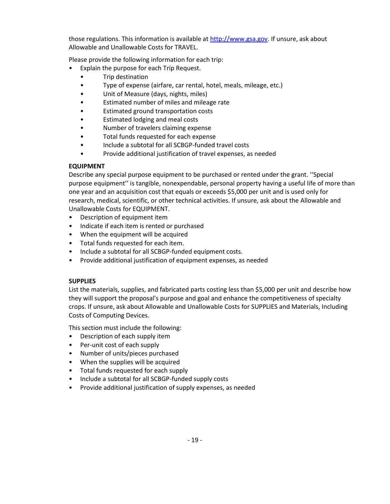those regulations. This information is available at [http://www.gsa.gov.](http://www.gsa.gov/) If unsure, ask about Allowable and Unallowable Costs for TRAVEL.

Please provide the following information for each trip:

- Explain the purpose for each Trip Request.
	- Trip destination
	- Type of expense (airfare, car rental, hotel, meals, mileage, etc.)
	- Unit of Measure (days, nights, miles)
	- Estimated number of miles and mileage rate
	- Estimated ground transportation costs
	- Estimated lodging and meal costs
	- Number of travelers claiming expense
	- Total funds requested for each expense
	- Include a subtotal for all SCBGP-funded travel costs
	- Provide additional justification of travel expenses, as needed

## **EQUIPMENT**

Describe any special purpose equipment to be purchased or rented under the grant. ''Special purpose equipment'' is tangible, nonexpendable, personal property having a useful life of more than one year and an acquisition cost that equals or exceeds \$5,000 per unit and is used only for research, medical, scientific, or other technical activities. If unsure, ask about the Allowable and Unallowable Costs for EQUIPMENT.

- Description of equipment item
- Indicate if each item is rented or purchased
- When the equipment will be acquired
- Total funds requested for each item.
- Include a subtotal for all SCBGP-funded equipment costs.
- Provide additional justification of equipment expenses, as needed

## **SUPPLIES**

List the materials, supplies, and fabricated parts costing less than \$5,000 per unit and describe how they will support the proposal's purpose and goal and enhance the competitiveness of specialty crops. If unsure, ask about Allowable and Unallowable Costs for SUPPLIES and Materials, Including Costs of Computing Devices.

This section must include the following:

- Description of each supply item
- Per-unit cost of each supply
- Number of units/pieces purchased
- When the supplies will be acquired
- Total funds requested for each supply
- Include a subtotal for all SCBGP-funded supply costs
- Provide additional justification of supply expenses, as needed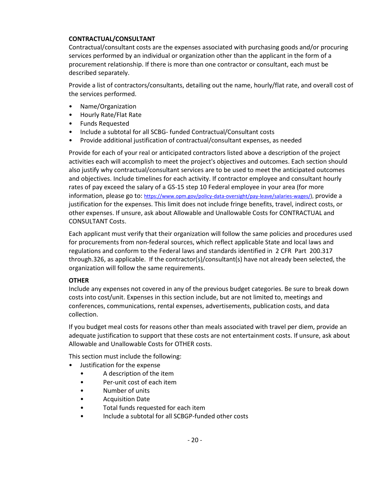#### **CONTRACTUAL/CONSULTANT**

Contractual/consultant costs are the expenses associated with purchasing goods and/or procuring services performed by an individual or organization other than the applicant in the form of a procurement relationship. If there is more than one contractor or consultant, each must be described separately.

Provide a list of contractors/consultants, detailing out the name, hourly/flat rate, and overall cost of the services performed.

- Name/Organization
- Hourly Rate/Flat Rate
- Funds Requested
- Include a subtotal for all SCBG- funded Contractual/Consultant costs
- Provide additional justification of contractual/consultant expenses, as needed

Provide for each of your real or anticipated contractors listed above a description of the project activities each will accomplish to meet the project's objectives and outcomes. Each section should also justify why contractual/consultant services are to be used to meet the anticipated outcomes and objectives. Include timelines for each activity. If contractor employee and consultant hourly rates of pay exceed the salary of a GS-15 step 10 Federal employee in your area (for more information, please go to: [https://www.opm.gov/policy-data-oversight/pay-leave/salaries-wages/\)](https://www.opm.gov/policy-data-oversight/pay-leave/salaries-wages/), provide a justification for the expenses. This limit does not include fringe benefits, travel, indirect costs, or other expenses. If unsure, ask about Allowable and Unallowable Costs for CONTRACTUAL and CONSULTANT Costs.

Each applicant must verify that their organization will follow the same policies and procedures used for procurements from non-federal sources, which reflect applicable State and local laws and regulations and conform to the Federal laws and standards identified in 2 CFR Part 200.317 through.326, as applicable. If the contractor(s)/consultant(s) have not already been selected, the organization will follow the same requirements.

## **OTHER**

Include any expenses not covered in any of the previous budget categories. Be sure to break down costs into cost/unit. Expenses in this section include, but are not limited to, meetings and conferences, communications, rental expenses, advertisements, publication costs, and data collection.

If you budget meal costs for reasons other than meals associated with travel per diem, provide an adequate justification to support that these costs are not entertainment costs. If unsure, ask about Allowable and Unallowable Costs for OTHER costs.

This section must include the following:

- Justification for the expense
	- A description of the item
	- Per-unit cost of each item
	- Number of units
	- Acquisition Date
	- Total funds requested for each item
	- Include a subtotal for all SCBGP-funded other costs